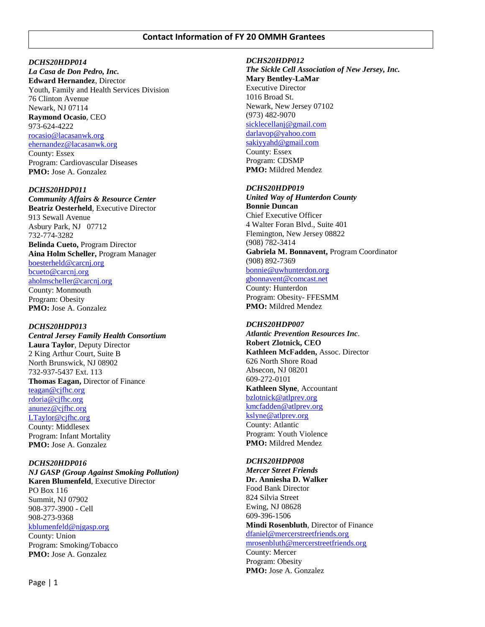# **Contact Information of FY 20 OMMH Grantees**

## *DCHS20HDP014*

*La Casa de Don Pedro, Inc.* **Edward Hernandez**, Director Youth, Family and Health Services Division 76 Clinton Avenue Newark, NJ 07114 **Raymond Ocasio**, CEO 973-624-4222 [rocasio@lacasanwk.org](mailto:rocasio@lacasanwk.org) [ehernandez@lacasanwk.org](mailto:ehernandez@lacasanwk.org) County: Essex Program: Cardiovascular Diseases **PMO:** Jose A. Gonzalez

## *DCHS20HDP011*

*Community Affairs & Resource Center* **Beatriz Oesterheld**, Executive Director 913 Sewall Avenue Asbury Park, NJ 07712 732-774-3282 **Belinda Cueto,** Program Director **Aina Holm Scheller,** Program Manager [boesterheld@carcnj.org](mailto:boesterheld@carcnj.org) [bcueto@carcnj.org](mailto:bcueto@carcnj.org) [aholmscheller@carcnj.org](mailto:aholmscheller@carcnj.org) County: Monmouth Program: Obesity **PMO:** Jose A. Gonzalez

## *DCHS20HDP013*

*Central Jersey Family Health Consortium* **Laura Taylor**, Deputy Director 2 King Arthur Court, Suite B North Brunswick, NJ 08902 732-937-5437 Ext. 113 **Thomas Eagan,** Director of Finance [teagan@cjfhc.org](mailto:teagan@cjfhc.org) [rdoria@cjfhc.org](mailto:rdoria@cjfhc.org) [anunez@cjfhc.org](mailto:anunez@cjfhc.org) [LTaylor@cjfhc.org](file:///C:/Users/ssam/AppData/Local/Microsoft/Windows/Temporary%20Internet%20Files/Content.Outlook/5QPRAODL/LTaylor@cjfhc.org) County: Middlesex Program: Infant Mortality **PMO:** Jose A. Gonzalez

## *DCHS20HDP016*

*NJ GASP (Group Against Smoking Pollution)* **Karen Blumenfeld**, Executive Director PO Box 116 Summit, NJ 07902 908-377-3900 - Cell 908-273-9368 [kblumenfeld@njgasp.org](mailto:kblumenfeld@njgasp.org) County: Union Program: Smoking/Tobacco **PMO:** Jose A. Gonzalez

#### *DCHS20HDP012*

*The Sickle Cell Association of New Jersey, Inc.* **Mary Bentley-LaMar** Executive Director 1016 Broad St. Newark, New Jersey 07102 (973) 482-9070 [sicklecellanj@gmail.com](mailto:sicklecellanj@gmail.com) [darlavop@yahoo.com](mailto:darlavop@yahoo.com) [sakiyyahd@gmail.com](file:///C:/Users/ssam/AppData/Local/Microsoft/Windows/Temporary%20Internet%20Files/Content.Outlook/5QPRAODL/sakiyyahd@gmail.com) County: Essex Program: CDSMP

#### *DCHS20HDP019*

**PMO:** Mildred Mendez

*United Way of Hunterdon County* **Bonnie Duncan** Chief Executive Officer 4 Walter Foran Blvd., Suite 401 Flemington, New Jersey 08822 (908) 782-3414 **Gabriela M. Bonnavent,** Program Coordinator (908) 892-7369 [bonnie@uwhunterdon.org](mailto:bonnie@uwhunterdon.org) [gbonnavent@comcast.net](mailto:gabby@uwhunterdon.org) County: Hunterdon Program: Obesity- FFESMM

**PMO:** Mildred Mendez

## *DCHS20HDP007*

*Atlantic Prevention Resources Inc*. **Robert Zlotnick, CEO Kathleen McFadden,** Assoc. Director 626 North Shore Road Absecon, NJ 08201 609-272-0101 **Kathleen Slyne**, Accountant [bzlotnick@atlprev.org](mailto:bzlotnick@atlprev.org) [kmcfadden@atlprev.org](mailto:kmcfadden@atlprev.org) [kslyne@atlprev.org](mailto:kslyne@atlprev.org) County: Atlantic Program: Youth Violence **PMO:** Mildred Mendez

*DCHS20HDP008 Mercer Street Friends* **Dr. Anniesha D. Walker** Food Bank Director 824 Silvia Street Ewing, NJ 08628 609-396-1506 **Mindi Rosenbluth**, Director of Finance [dfaniel@mercerstreetfriends.org](mailto:dfaniel@mercerstreetfriends.org) [mrosenbluth@mercerstreetfriends.org](mailto:mrosenbluth@mercerstreetfriends.org) County: Mercer Program: Obesity **PMO:** Jose A. Gonzalez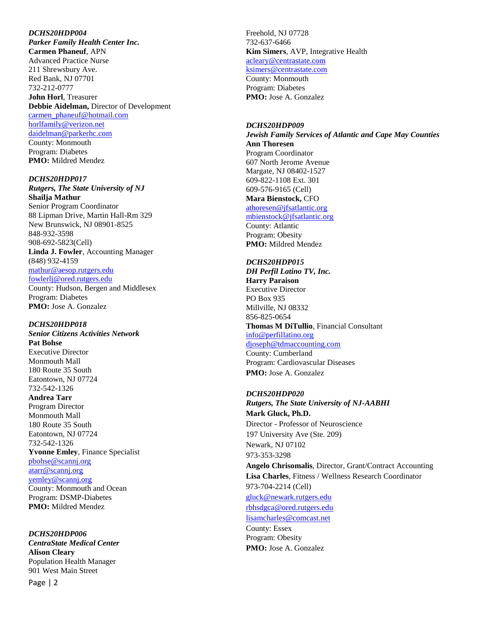#### *DCHS20HDP004*

*Parker Family Health Center Inc.* **Carmen Phaneuf**, APN Advanced Practice Nurse 211 Shrewsbury Ave. Red Bank, NJ 07701 732-212-0777 **John Horl**, Treasurer **Debbie Aidelman,** Director of Development [carmen\\_phaneuf@hotmail.com](mailto:carmen_phaneuf@hotmail.com) [horlfamily@verizon.net](mailto:rfitzmaurice@tworiverbank.com) [daidelman@parkerhc.com](file:///C:/Users/mmendez/AppData/Local/Microsoft/Windows/Temporary%20Internet%20Files/Content.Outlook/CVT2C5S4/daidelman@parkerhc.com) County: Monmouth Program: Diabetes

**PMO:** Mildred Mendez

*DCHS20HDP017 Rutgers, The State University of NJ* **Shailja Mathur** Senior Program Coordinator 88 Lipman Drive, Martin Hall-Rm 329 New Brunswick, NJ 08901-8525 848-932-3598 908-692-5823(Cell) **Linda J. Fowler**, Accounting Manager (848) 932-4159 [mathur@aesop.rutgers.edu](mailto:mathur@aesop.rutgers.edu) [fowlerlj@ored.rutgers.edu](file:///C:/Users/ssharma/AppData/Local/Microsoft/Windows/INetCache/Content.Outlook/7RY2OBFL/fowlerlj@ored.rutgers.edu)

County: Hudson, Bergen and Middlesex Program: Diabetes **PMO:** Jose A. Gonzalez

## *DCHS20HDP018*

*Senior Citizens Activities Network* **Pat Bohse** Executive Director Monmouth Mall 180 Route 35 South Eatontown, NJ 07724 732-542-1326 **Andrea Tarr** Program Director Monmouth Mall 180 Route 35 South Eatontown, NJ 07724 732-542-1326 **Yvonne Emley**, Finance Specialist [pbohse@scannj.org](mailto:pbohse@scannj.org) [atarr@scannj.org](file:///C:/Users/ssam/AppData/Local/Microsoft/Windows/Temporary%20Internet%20Files/Content.Outlook/5QPRAODL/atarr@scannj.org) [yemley@scannj.org](mailto:yemley@scannj.org) County: Monmouth and Ocean Program: DSMP-Diabetes **PMO:** Mildred Mendez

## *DCHS20HDP006*

*CentraState Medical Center* **Alison Cleary** Population Health Manager 901 West Main Street

Freehold, NJ 07728 732-637-6466 **Kim Simers**, AVP, Integrative Health [acleary@centrastate.com](mailto:acleary@centrastate.com) [ksimers@centrastate.com](mailto:ksimers@centrastate.com) County: Monmouth Program: Diabetes

**PMO:** Jose A. Gonzalez

*DCHS20HDP009 Jewish Family Services of Atlantic and Cape May Counties* **Ann Thoresen** Program Coordinator 607 North Jerome Avenue Margate, NJ 08402-1527 609-822-1108 Ext. 301 609-576-9165 (Cell) **Mara Bienstock,** CFO [athoresen@jfsatlantic.org](mailto:athoresen@jfsatlantic.org)

[mbienstock@jfsatlantic.org](mailto:mbienstock@jfsatlantic.org) County: Atlantic Program: Obesity **PMO:** Mildred Mendez

*DCHS20HDP015 DH Perfil Latino TV, Inc.* **Harry Paraison** Executive Director PO Box 935 Millville, NJ 08332 856-825-0654 **Thomas M DiTullio**, Financial Consultant [info@perfillatino.org](mailto:info@perfillatino.org) [djoseph@tdmaccounting.com](mailto:djoseph@tdmaccounting.com) County: Cumberland Program: Cardiovascular Diseases **PMO:** Jose A. Gonzalez

*DCHS20HDP020 Rutgers, The State University of NJ-AABHI* **Mark Gluck, Ph.D.** Director - Professor of Neuroscience 197 University Ave (Ste. 209) Newark, NJ 07102 973-353-3298 **Angelo Chrisomalis**, Director, Grant/Contract Accounting **Lisa Charles**, Fitness / Wellness Research Coordinator 973-704-2214 (Cell) [gluck@newark.rutgers.edu](mailto:gluck@newark.rutgers.edu) [rbhsdgca@ored.rutgers.edu](mailto:rbhsdgca@ored.rutgers.edu) lisamcharles@comcast.net County: Essex Program: Obesity **PMO:** Jose A. Gonzalez

Page | 2